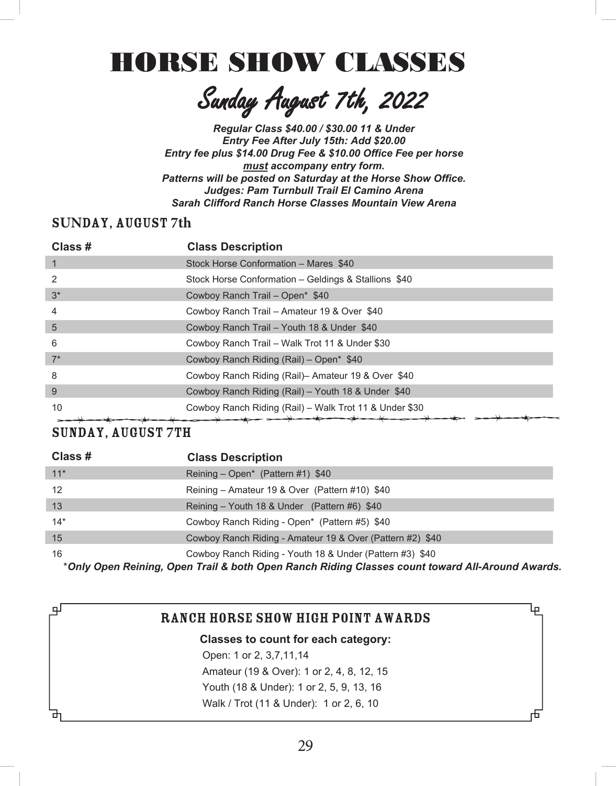# **HORSE SHOW CLASSES**

Sanday August 7th, 2022

*Regular Class \$40.00 / \$30.00 11 & Under*  **Entry Fee After July 15th: Add \$20.00** *Entry fee plus \$14.00 Drug Fee & \$10.00 Office Fee per horse must accompany entry form. Patterns will be posted on Saturday at the Horse Show Office.* **Judges: Pam Turnbull Trail El Camino Arena Sarah Clifford Ranch Horse Classes Mountain View Arena** 

#### **SUNDAY, AUGUST 7th**

| Class # | <b>Class Description</b>                               |
|---------|--------------------------------------------------------|
| 1       | Stock Horse Conformation - Mares \$40                  |
| 2       | Stock Horse Conformation - Geldings & Stallions \$40   |
| $3^*$   | Cowboy Ranch Trail - Open* \$40                        |
| 4       | Cowboy Ranch Trail - Amateur 19 & Over \$40            |
| 5       | Cowboy Ranch Trail - Youth 18 & Under \$40             |
| 6       | Cowboy Ranch Trail - Walk Trot 11 & Under \$30         |
| $7^*$   | Cowboy Ranch Riding (Rail) – Open* \$40                |
| 8       | Cowboy Ranch Riding (Rail) - Amateur 19 & Over \$40    |
| 9       | Cowboy Ranch Riding (Rail) - Youth 18 & Under \$40     |
| 10      | Cowboy Ranch Riding (Rail) – Walk Trot 11 & Under \$30 |

## SUNDAY, AUGUST 7TH

டி

| Class #           | <b>Class Description</b>                                  |
|-------------------|-----------------------------------------------------------|
| $11*$             | Reining – Open <sup>*</sup> (Pattern #1) $$40$            |
| $12 \overline{ }$ | Reining - Amateur 19 & Over (Pattern #10) \$40            |
| 13                | Reining – Youth 18 & Under (Pattern #6) \$40              |
| $14*$             | Cowboy Ranch Riding - Open* (Pattern #5) \$40             |
| 15                | Cowboy Ranch Riding - Amateur 19 & Over (Pattern #2) \$40 |
| 16                | Cowboy Ranch Riding - Youth 18 & Under (Pattern #3) \$40  |

\**Only Open Reining, Open Trail & both Open Ranch Riding Classes count toward All-Around Awards.*

Ļρ

## Ranch Horse Show High Point Awards

#### **Classes to count for each category:**

Open: 1 or 2, 3,7,11,14 Amateur (19 & Over): 1 or 2, 4, 8, 12, 15 Youth (18 & Under): 1 or 2, 5, 9, 13, 16 Walk / Trot (11 & Under): 1 or 2, 6, 10